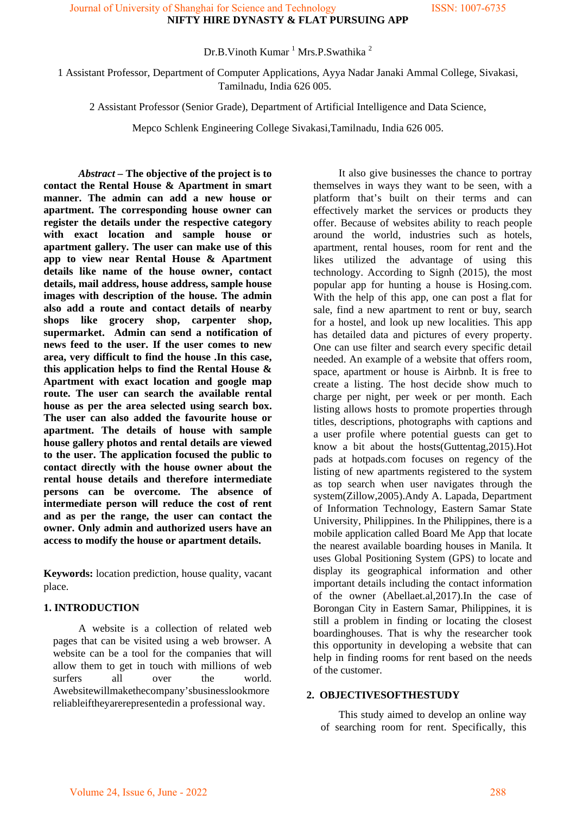### **NIFTY HIRE DYNASTY & FLAT PURSUING APP** Journal of University of Shanghai for Science and Technology ISSN: 1007-6735

# Dr.B.Vinoth Kumar  $1$  Mrs.P.Swathika  $2$

1 Assistant Professor, Department of Computer Applications, Ayya Nadar Janaki Ammal College, Sivakasi, Tamilnadu, India 626 005.

2 Assistant Professor (Senior Grade), Department of Artificial Intelligence and Data Science,

Mepco Schlenk Engineering College Sivakasi,Tamilnadu, India 626 005.

*Abstract –* **The objective of the project is to contact the Rental House & Apartment in smart manner. The admin can add a new house or apartment. The corresponding house owner can register the details under the respective category with exact location and sample house or apartment gallery. The user can make use of this app to view near Rental House & Apartment details like name of the house owner, contact details, mail address, house address, sample house images with description of the house. The admin also add a route and contact details of nearby shops like grocery shop, carpenter shop, supermarket. Admin can send a notification of news feed to the user. If the user comes to new area, very difficult to find the house .In this case, this application helps to find the Rental House & Apartment with exact location and google map route. The user can search the available rental house as per the area selected using search box. The user can also added the favourite house or apartment. The details of house with sample house gallery photos and rental details are viewed to the user. The application focused the public to contact directly with the house owner about the rental house details and therefore intermediate persons can be overcome. The absence of intermediate person will reduce the cost of rent and as per the range, the user can contact the owner. Only admin and authorized users have an access to modify the house or apartment details.**

**Keywords:** location prediction, house quality, vacant place.

### **1. INTRODUCTION**

A website is a collection of related web pages that can be visited using a web browser. A website can be a tool for the companies that will allow them to get in touch with millions of web surfers all over the world. Awebsitewillmakethecompany'sbusinesslookmore reliableiftheyarerepresentedin a professional way.

It also give businesses the chance to portray themselves in ways they want to be seen, with a platform that's built on their terms and can effectively market the services or products they offer. Because of websites ability to reach people around the world, industries such as hotels, apartment, rental houses, room for rent and the likes utilized the advantage of using this technology. According to Signh (2015), the most popular app for hunting a house is Hosing.com. With the help of this app, one can post a flat for sale, find a new apartment to rent or buy, search for a hostel, and look up new localities. This app has detailed data and pictures of every property. One can use filter and search every specific detail needed. An example of a website that offers room, space, apartment or house is Airbnb. It is free to create a listing. The host decide show much to charge per night, per week or per month. Each listing allows hosts to promote properties through titles, descriptions, photographs with captions and a user profile where potential guests can get to know a bit about the hosts(Guttentag,2015).Hot pads at hotpads.com focuses on regency of the listing of new apartments registered to the system as top search when user navigates through the system(Zillow,2005).Andy A. Lapada, Department of Information Technology, Eastern Samar State University, Philippines. In the Philippines, there is a mobile application called Board Me App that locate the nearest available boarding houses in Manila. It uses Global Positioning System (GPS) to locate and display its geographical information and other important details including the contact information of the owner (Abellaet.al,2017).In the case of Borongan City in Eastern Samar, Philippines, it is still a problem in finding or locating the closest boardinghouses. That is why the researcher took this opportunity in developing a website that can help in finding rooms for rent based on the needs of the customer.

### **2. OBJECTIVESOFTHESTUDY**

This study aimed to develop an online way of searching room for rent. Specifically, this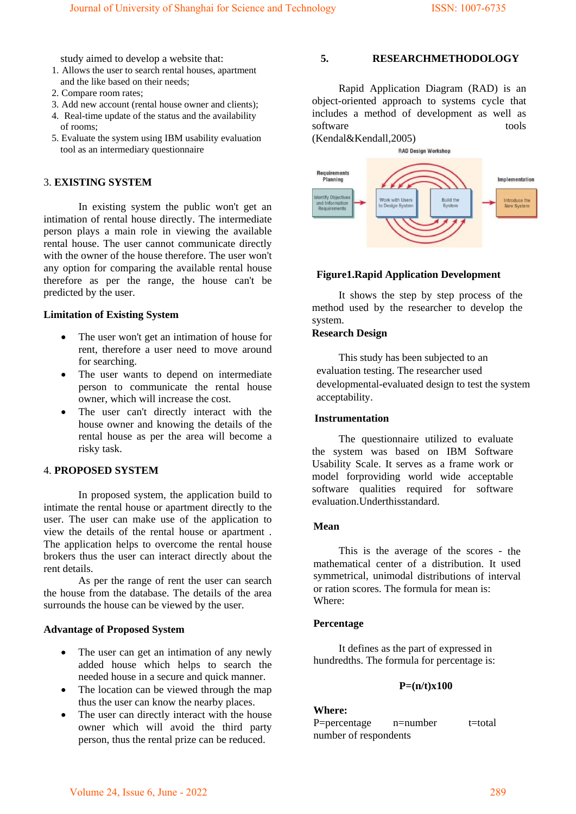study aimed to develop a website that:

- 1. Allows the user to search rental houses, apartment and the like based on their needs;
- 2. Compare room rates;
- 3. Add new account (rental house owner and clients);
- 4. Real-time update of the status and the availability of rooms;
- 5. Evaluate the system using IBM usability evaluation tool as an intermediary questionnaire

# 3. **EXISTING SYSTEM**

In existing system the public won't get an intimation of rental house directly. The intermediate person plays a main role in viewing the available rental house. The user cannot communicate directly with the owner of the house therefore. The user won't any option for comparing the available rental house therefore as per the range, the house can't be predicted by the user.

## **Limitation of Existing System**

- The user won't get an intimation of house for rent, therefore a user need to move around for searching.
- The user wants to depend on intermediate person to communicate the rental house owner, which will increase the cost.
- The user can't directly interact with the house owner and knowing the details of the rental house as per the area will become a risky task.

# 4. **PROPOSED SYSTEM**

In proposed system, the application build to intimate the rental house or apartment directly to the user. The user can make use of the application to view the details of the rental house or apartment . The application helps to overcome the rental house brokers thus the user can interact directly about the rent details.

As per the range of rent the user can search the house from the database. The details of the area surrounds the house can be viewed by the user.

## **Advantage of Proposed System**

- The user can get an intimation of any newly added house which helps to search the needed house in a secure and quick manner.
- The location can be viewed through the map thus the user can know the nearby places.
- The user can directly interact with the house owner which will avoid the third party person, thus the rental prize can be reduced.

# **5. RESEARCHMETHODOLOGY**

Rapid Application Diagram (RAD) is an object-oriented approach to systems cycle that includes a method of development as well as software tools tools

(Kendal&Kendall,2005)



# **Figure1.Rapid Application Development**

It shows the step by step process of the method used by the researcher to develop the system.

# **Research Design**

This study has been subjected to an evaluation testing. The researcher used developmental-evaluated design to test the system acceptability.

### **Instrumentation**

The questionnaire utilized to evaluate the system was based on IBM Software Usability Scale. It serves as a frame work or model forproviding world wide acceptable software qualities required for software evaluation.Underthisstandard.

### **Mean**

This is the average of the scores - the mathematical center of a distribution. It used symmetrical, unimodal distributions of interval or ration scores. The formula for mean is: Where:

### **Percentage**

It defines as the part of expressed in hundredths. The formula for percentage is:

## **P=(n/t)x100**

**Where:** P=percentage n=number t=total number of respondents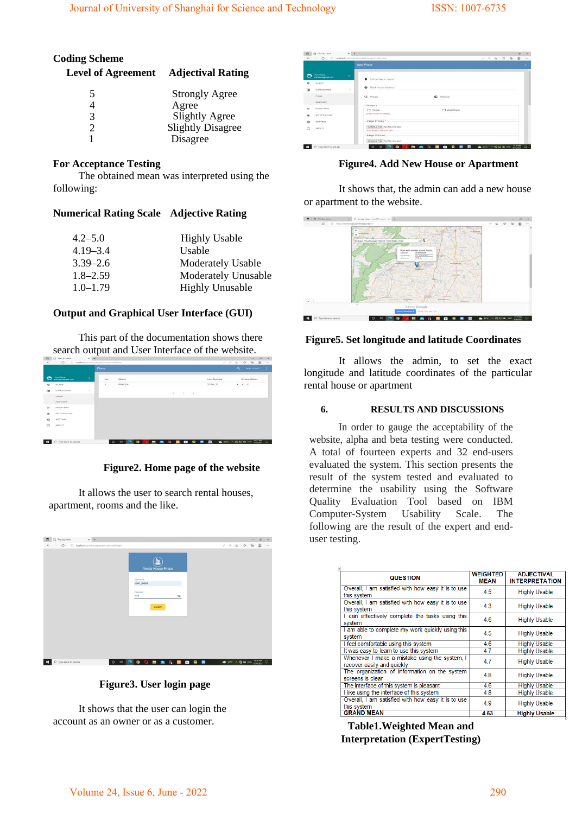## **Coding Scheme**

| <b>Level of Agreement</b> | <b>Adjectival Rating</b> |
|---------------------------|--------------------------|
| 5                         | <b>Strongly Agree</b>    |
| 4                         | Agree                    |
| 3                         | Slightly Agree           |
| 2                         | <b>Slightly Disagree</b> |
|                           | Disagree                 |

# **For Acceptance Testing**

The obtained mean was interpreted using the following:

# **Numerical Rating Scale Adjective Rating**

| $4.2 - 5.0$  | <b>Highly Usable</b>     |
|--------------|--------------------------|
| $4.19 - 3.4$ | Usable                   |
| $3.39 - 2.6$ | <b>Moderately Usable</b> |
| $1.8 - 2.59$ | Moderately Unusable      |
| $1.0 - 1.79$ | <b>Highly Unusable</b>   |

# **Output and Graphical User Interface (GUI)**

This part of the documentation shows there search output and User Interface of the website.

|              |                                   |        | Place |                                      |                    |           |           |                |                         | $\alpha$ | ADD PLACE          |          | ×      |
|--------------|-----------------------------------|--------|-------|--------------------------------------|--------------------|-----------|-----------|----------------|-------------------------|----------|--------------------|----------|--------|
| Œ            | User Place.<br>som pincegimna com | ŧ      | No    | うちくんさん<br>Name                       |                    |           |           | Last Update    |                         |          | <b>Action Menu</b> |          |        |
| o            | PLACE                             |        | ٠     | Pavithra                             |                    |           |           | 05 Apr 22      |                         |          | $-101$             |          |        |
| $\equiv$     | CATEGORIES                        | $\sim$ |       |                                      | $\epsilon$         |           |           |                |                         |          |                    |          |        |
|              | <b>PEDAGO</b>                     |        |       |                                      |                    | $-1$      |           |                |                         |          |                    |          |        |
|              | <b>CONTRACTOR</b><br>Apartment    |        |       |                                      |                    |           |           |                |                         |          |                    |          |        |
| m            | NEWS INFO.<br>80 S.S.A.           |        |       |                                      |                    |           |           |                |                         |          |                    |          |        |
| ۰            | NOTIFICATION                      |        |       |                                      |                    |           |           |                |                         |          |                    |          |        |
| ×.           | SETTING.                          |        |       |                                      |                    |           |           |                |                         |          |                    |          |        |
| ▭            | <b>STATISTICS</b><br><b>ABOUT</b> |        |       |                                      |                    |           |           |                |                         |          |                    |          |        |
|              |                                   |        |       |                                      |                    |           |           |                |                         |          |                    |          |        |
|              |                                   |        |       |                                      |                    |           |           |                |                         |          |                    |          |        |
| $\mathbf{H}$ | s.<br>Type here to search         |        |       | $\bullet$<br>$\circ$<br>$\mathbb{R}$ | <b>PE 26 10 10</b> | $\bullet$ | $\bullet$ | $\blacksquare$ | de sero > 00 tot so uso |          |                    | 11/27 PM | $\Box$ |

**Figure2. Home page of the website**

It allows the user to search rental houses, apartment, rooms and the like.



**Figure3. User login page**

It shows that the user can login the account as an owner or as a customer.

|         |                                           |   | <b>Add Place</b>                                           |                    |  |  |  |  |
|---------|-------------------------------------------|---|------------------------------------------------------------|--------------------|--|--|--|--|
| ⊙       | <b>Lisar Place</b><br>user place@mail.com | Ŧ | 9 House Owner Name *                                       |                    |  |  |  |  |
| $\circ$ | PLACE                                     |   |                                                            |                    |  |  |  |  |
| 潭       | CATEGORIES                                | × | + Rent House Address *                                     |                    |  |  |  |  |
|         | House                                     |   | thone                                                      | $\circ$<br>Website |  |  |  |  |
|         | Apartment                                 |   |                                                            |                    |  |  |  |  |
| ∍       | NEWS INFO                                 |   | Category *<br>□ House                                      | □ Apartment        |  |  |  |  |
| ۰       | <b>CAR CONTRACTOR</b><br>NOTIFICATION     |   | At least choose one cetrony                                |                    |  |  |  |  |
| ٠       | SETTING                                   |   | Image Primary *                                            |                    |  |  |  |  |
| n       | ABOUT                                     |   | Choose File No file chosen<br>JOSIENG enjoymer aire 0.58/5 |                    |  |  |  |  |
|         |                                           |   | Image Optional                                             |                    |  |  |  |  |
|         |                                           |   | Choose File No file chosen                                 |                    |  |  |  |  |

**Figure4. Add New House or Apartment**

It shows that, the admin can add a new house or apartment to the website.

| <b>D. D. Hally Anne</b> | Google Mass - Find DPS appoint the 11-80-                                                                                                                                                                                                                                                                                                                                                                                                                                |                                     |  |        |        |
|-------------------------|--------------------------------------------------------------------------------------------------------------------------------------------------------------------------------------------------------------------------------------------------------------------------------------------------------------------------------------------------------------------------------------------------------------------------------------------------------------------------|-------------------------------------|--|--------|--------|
| $\circ$<br>a<br>٠       | interest lineway map operativaties matches                                                                                                                                                                                                                                                                                                                                                                                                                               | 中宙群                                 |  |        |        |
| $\sim$                  | ۰<br>$\overline{\phantom{a}}$<br>$\alpha$<br>Briston, Visiturage David, Tard Nets, Inda.<br>More with preveal rooms bottom<br><b>NAMADE</b><br><b><i><u>LARUSE</u></i></b><br>FF FFWRFELT<br>Lingham<br><b>Bulletin</b><br><b>ITER</b><br><b>Gen level</b><br>÷<br>PATRICK<br><b><i><u>Institution</u></i></b><br><b><i><u>Videos</u></i></b><br><b><i><u>Hoppinson</u></i></b><br><b>Austin</b><br><b>Drifts</b><br><b><i><u>bushes are sure</u></i></b><br>terapidican |                                     |  |        |        |
|                         | Ads by Google<br>WHY THE INT IS:<br><b>Include Secretary &amp;</b>                                                                                                                                                                                                                                                                                                                                                                                                       |                                     |  |        |        |
|                         |                                                                                                                                                                                                                                                                                                                                                                                                                                                                          |                                     |  |        |        |
| Type here to search     | $\circ$<br>ы                                                                                                                                                                                                                                                                                                                                                                                                                                                             | $\triangle$ and $\sim$ 02 to to the |  | USE PM | $\Box$ |

# **Figure5. Set longitude and latitude Coordinates**

It allows the admin, to set the exact longitude and latitude coordinates of the particular rental house or apartment

# **6. RESULTS AND DISCUSSIONS**

In order to gauge the acceptability of the website, alpha and beta testing were conducted. A total of fourteen experts and 32 end-users evaluated the system. This section presents the result of the system tested and evaluated to determine the usability using the Software Quality Evaluation Tool based on IBM Computer-System Usability Scale. The following are the result of the expert and enduser testing.

| <b>QUESTION</b>                                                             | <b>WEIGHTED</b><br>MEAN | <b>ADJECTIVAL</b><br><b>INTERPRETATION</b> |
|-----------------------------------------------------------------------------|-------------------------|--------------------------------------------|
| Overall. I am satisfied with how easy it is to use<br>this system           | 45                      | <b>Highly Usable</b>                       |
| Overall, I am satisfied with how easy it is to use<br>this system           | 43                      | <b>Highly Usable</b>                       |
| can effectively complete the tasks using this<br>system                     | 4.6                     | <b>Highly Usable</b>                       |
| I am able to complete my work quickly using this<br>system                  | 45                      | <b>Highly Usable</b>                       |
| I feel comfortable using this system                                        | 46                      | <b>Highly Usable</b>                       |
| It was easy to learn to use this system                                     | 4.7                     | <b>Highly Usable</b>                       |
| Whenever I make a mistake using the system, I<br>recover easily and quickly | 4.7                     | <b>Highly Usable</b>                       |
| The organization of information on the system<br>screens is clear           | 4.8                     | <b>Highly Usable</b>                       |
| The interface of this system is pleasant                                    | 4.6                     | <b>Highly Usable</b>                       |
| I like using the interface of this system                                   | 4.8                     | <b>Highly Usable</b>                       |
| Overall, I am satisfied with how easy it is to use<br>this system           | 49                      | <b>Highly Usable</b>                       |
| <b>GRAND MEAN</b>                                                           | 4.63                    | <b>Highly Usable</b>                       |

**Table1.Weighted Mean and Interpretation (ExpertTesting)**